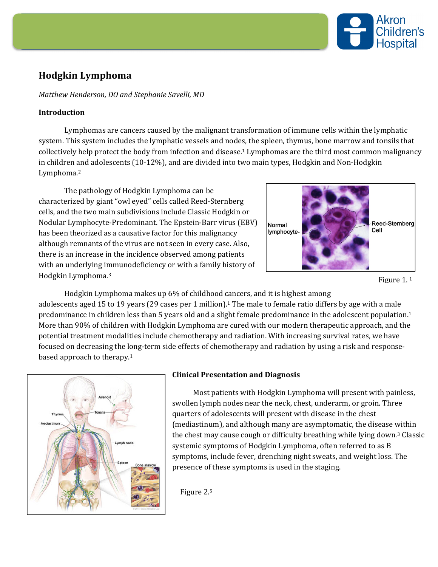

# **Hodgkin Lymphoma**

### *Matthew Henderson, DO and Stephanie Savelli, MD*

## **Introduction**

Lymphomas are cancers caused by the malignant transformation of immune cells within the lymphatic system. This system includes the lymphatic vessels and nodes, the spleen, thymus, bone marrow and tonsils that collectively help protect the body from infection and disease.1 Lymphomas are the third most common malignancy in children and adolescents (10-12%), and are divided into two main types, Hodgkin and Non-Hodgkin Lymphoma.2

The pathology of Hodgkin Lymphoma can be characterized by giant "owl eyed" cells called Reed-Sternberg cells, and the two main subdivisions include Classic Hodgkin or Nodular Lymphocyte-Predominant. The Epstein-Barr virus (EBV) has been theorized as a causative factor for this malignancy although remnants of the virus are not seen in every case. Also, there is an increase in the incidence observed among patients with an underlying immunodeficiency or with a family history of Hodgkin Lymphoma.3



Figure 1. 1

Hodgkin Lymphoma makes up 6% of childhood cancers, and it is highest among adolescents aged 15 to 19 years (29 cases per 1 million).1 The male to female ratio differs by age with a male predominance in children less than 5 years old and a slight female predominance in the adolescent population.<sup>1</sup> More than 90% of children with Hodgkin Lymphoma are cured with our modern therapeutic approach, and the potential treatment modalities include chemotherapy and radiation. With increasing survival rates, we have focused on decreasing the long-term side effects of chemotherapy and radiation by using a risk and responsebased approach to therapy.1



#### **Clinical Presentation and Diagnosis**

Most patients with Hodgkin Lymphoma will present with painless, swollen lymph nodes near the neck, chest, underarm, or groin. Three quarters of adolescents will present with disease in the chest (mediastinum), and although many are asymptomatic, the disease within the chest may cause cough or difficulty breathing while lying down.3 Classic systemic symptoms of Hodgkin Lymphoma, often referred to as B symptoms, include fever, drenching night sweats, and weight loss. The presence of these symptoms is used in the staging.

Figure 2.5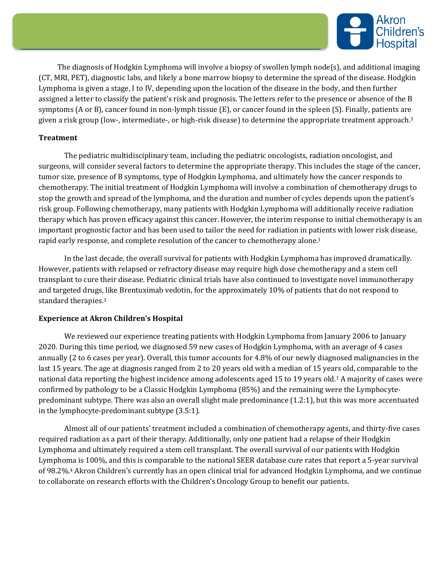

 The diagnosis of Hodgkin Lymphoma will involve a biopsy of swollen lymph node(s), and additional imaging (CT, MRI, PET), diagnostic labs, and likely a bone marrow biopsy to determine the spread of the disease. Hodgkin Lymphoma is given a stage, I to IV, depending upon the location of the disease in the body, and then further assigned a letter to classify the patient's risk and prognosis. The letters refer to the presence or absence of the B symptoms (A or B), cancer found in non-lymph tissue (E), or cancer found in the spleen (S). Finally, patients are given a risk group (low-, intermediate-, or high-risk disease) to determine the appropriate treatment approach.3

## **Treatment**

The pediatric multidisciplinary team, including the pediatric oncologists, radiation oncologist, and surgeons, will consider several factors to determine the appropriate therapy. This includes the stage of the cancer, tumor size, presence of B symptoms, type of Hodgkin Lymphoma, and ultimately how the cancer responds to chemotherapy. The initial treatment of Hodgkin Lymphoma will involve a combination of chemotherapy drugs to stop the growth and spread of the lymphoma, and the duration and number of cycles depends upon the patient's risk group. Following chemotherapy, many patients with Hodgkin Lymphoma will additionally receive radiation therapy which has proven efficacy against this cancer. However, the interim response to initial chemotherapy is an important prognostic factor and has been used to tailor the need for radiation in patients with lower risk disease, rapid early response, and complete resolution of the cancer to chemotherapy alone.1

In the last decade, the overall survival for patients with Hodgkin Lymphoma has improved dramatically. However, patients with relapsed or refractory disease may require high dose chemotherapy and a stem cell transplant to cure their disease. Pediatric clinical trials have also continued to investigate novel immunotherapy and targeted drugs, like Brentuximab vedotin, for the approximately 10% of patients that do not respond to standard therapies.3

#### **Experience at Akron Children's Hospital**

We reviewed our experience treating patients with Hodgkin Lymphoma from January 2006 to January 2020. During this time period, we diagnosed 59 new cases of Hodgkin Lymphoma, with an average of 4 cases annually (2 to 6 cases per year). Overall, this tumor accounts for 4.8% of our newly diagnosed malignancies in the last 15 years. The age at diagnosis ranged from 2 to 20 years old with a median of 15 years old, comparable to the national data reporting the highest incidence among adolescents aged 15 to 19 years old.1 A majority of cases were confirmed by pathology to be a Classic Hodgkin Lymphoma (85%) and the remaining were the Lymphocytepredominant subtype. There was also an overall slight male predominance (1.2:1), but this was more accentuated in the lymphocyte-predominant subtype (3.5:1).

 Almost all of our patients' treatment included a combination of chemotherapy agents, and thirty-five cases required radiation as a part of their therapy. Additionally, only one patient had a relapse of their Hodgkin Lymphoma and ultimately required a stem cell transplant. The overall survival of our patients with Hodgkin Lymphoma is 100%, and this is comparable to the national SEER database cure rates that report a 5-year survival of 98.2%.4 Akron Children's currently has an open clinical trial for advanced Hodgkin Lymphoma, and we continue to collaborate on research efforts with the Children's Oncology Group to benefit our patients.